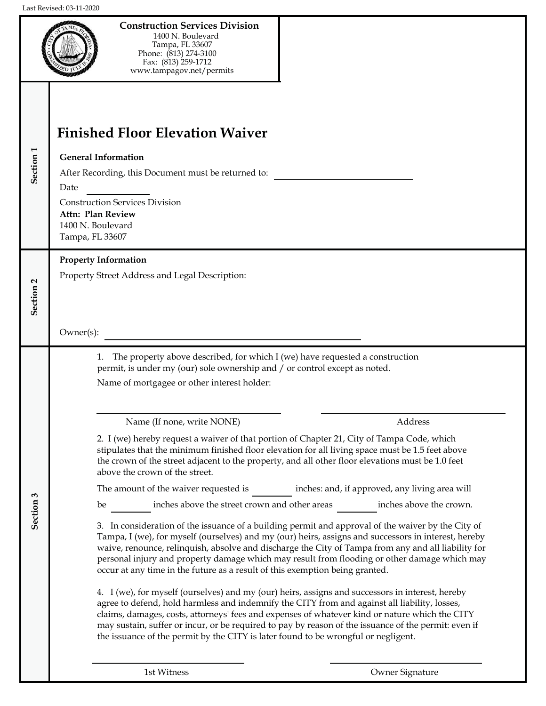

**Construction Services Division**  1400 N. Boulevard Tampa, FL 33607 Phone: (813) 274-3100 Fax: (813) 259-1712 www.tampagov.net/permits

| Section <sub>1</sub>    | <b>Finished Floor Elevation Waiver</b><br><b>General Information</b><br>After Recording, this Document must be returned to:<br>Date<br><b>Construction Services Division</b><br>Attn: Plan Review<br>1400 N. Boulevard<br>Tampa, FL 33607                                                                                                                                                                                                                                                                                                                                                                                                                                                                                                                                                                                                                                                                                                                                                                                                                                                                                                                                                                                                                                                                                                                                                                                                                                                                                                                                                                                                                                                                                                                                                |  |  |
|-------------------------|------------------------------------------------------------------------------------------------------------------------------------------------------------------------------------------------------------------------------------------------------------------------------------------------------------------------------------------------------------------------------------------------------------------------------------------------------------------------------------------------------------------------------------------------------------------------------------------------------------------------------------------------------------------------------------------------------------------------------------------------------------------------------------------------------------------------------------------------------------------------------------------------------------------------------------------------------------------------------------------------------------------------------------------------------------------------------------------------------------------------------------------------------------------------------------------------------------------------------------------------------------------------------------------------------------------------------------------------------------------------------------------------------------------------------------------------------------------------------------------------------------------------------------------------------------------------------------------------------------------------------------------------------------------------------------------------------------------------------------------------------------------------------------------|--|--|
| $\mathbf{a}$<br>Section | <b>Property Information</b><br>Property Street Address and Legal Description:<br>Owner(s):                                                                                                                                                                                                                                                                                                                                                                                                                                                                                                                                                                                                                                                                                                                                                                                                                                                                                                                                                                                                                                                                                                                                                                                                                                                                                                                                                                                                                                                                                                                                                                                                                                                                                               |  |  |
| S<br>Section            | The property above described, for which I (we) have requested a construction<br>1.<br>permit, is under my (our) sole ownership and / or control except as noted.<br>Name of mortgagee or other interest holder:<br>Address<br>Name (If none, write NONE)<br>2. I (we) hereby request a waiver of that portion of Chapter 21, City of Tampa Code, which<br>stipulates that the minimum finished floor elevation for all living space must be 1.5 feet above<br>the crown of the street adjacent to the property, and all other floor elevations must be 1.0 feet<br>above the crown of the street.<br>inches: and, if approved, any living area will<br>The amount of the waiver requested is<br>inches above the street crown and other areas<br>inches above the crown.<br>be<br>3. In consideration of the issuance of a building permit and approval of the waiver by the City of<br>Tampa, I (we), for myself (ourselves) and my (our) heirs, assigns and successors in interest, hereby<br>waive, renounce, relinquish, absolve and discharge the City of Tampa from any and all liability for<br>personal injury and property damage which may result from flooding or other damage which may<br>occur at any time in the future as a result of this exemption being granted.<br>4. I (we), for myself (ourselves) and my (our) heirs, assigns and successors in interest, hereby<br>agree to defend, hold harmless and indemnify the CITY from and against all liability, losses,<br>claims, damages, costs, attorneys' fees and expenses of whatever kind or nature which the CITY<br>may sustain, suffer or incur, or be required to pay by reason of the issuance of the permit: even if<br>the issuance of the permit by the CITY is later found to be wrongful or negligent. |  |  |

1st Witness Owner Signature